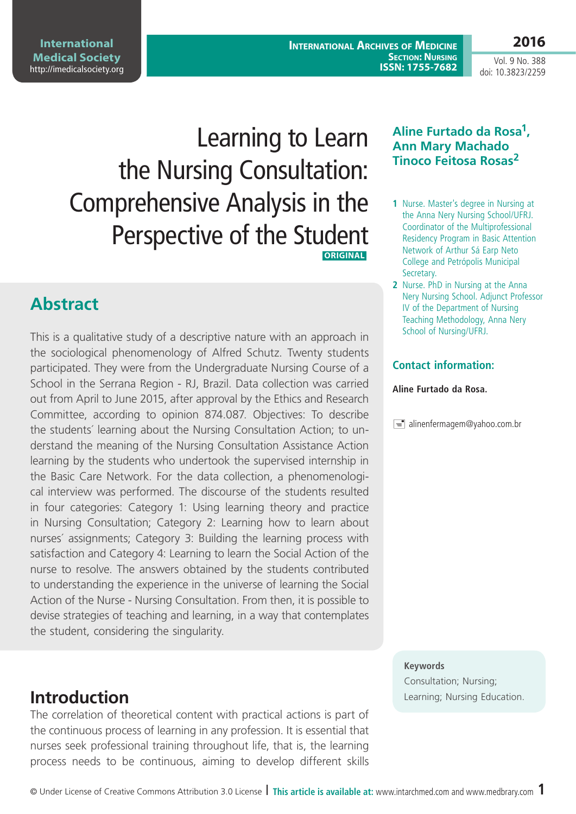© Under License of Creative Commons Attribution 3.0 License **| This article is available at:** www.intarchmed.com and [www.medbrary.com](http://www.medbrary.com) 1

The correlation of theoretical content with practical actions is part of the continuous process of learning in any profession. It is essential that nurses seek professional training throughout life, that is, the learning process needs to be continuous, aiming to develop different skills

# **Abstract**

This is a qualitative study of a descriptive nature with an approach in the sociological phenomenology of Alfred Schutz. Twenty students participated. They were from the Undergraduate Nursing Course of a School in the Serrana Region - RJ, Brazil. Data collection was carried out from April to June 2015, after approval by the Ethics and Research Committee, according to opinion 874.087. Objectives: To describe the students´ learning about the Nursing Consultation Action; to understand the meaning of the Nursing Consultation Assistance Action learning by the students who undertook the supervised internship in the Basic Care Network. For the data collection, a phenomenological interview was performed. The discourse of the students resulted in four categories: Category 1: Using learning theory and practice in Nursing Consultation; Category 2: Learning how to learn about nurses´ assignments; Category 3: Building the learning process with satisfaction and Category 4: Learning to learn the Social Action of the nurse to resolve. The answers obtained by the students contributed to understanding the experience in the universe of learning the Social Action of the Nurse - Nursing Consultation. From then, it is possible to devise strategies of teaching and learning, in a way that contemplates the student, considering the singularity.

**International Archives of Medicine SECTION: NURSING ISSN: 1755-7682**

Vol. 9 No. 388 doi: 10.3823/2259

#### **Aline Furtado da Rosa1, Ann Mary Machado Tinoco Feitosa Rosas<sup>2</sup>**

- **1** Nurse. Master's degree in Nursing at the Anna Nery Nursing School/UFRJ. Coordinator of the Multiprofessional Residency Program in Basic Attention Network of Arthur Sá Earp Neto College and Petrópolis Municipal Secretary.
- **2** Nurse. PhD in Nursing at the Anna Nery Nursing School. Adjunct Professor IV of the Department of Nursing Teaching Methodology, Anna Nery School of Nursing/UFRJ.

### **Contact information:**

#### **Aline Furtado da Rosa.**

 $\equiv$  alinenfermagem@yahoo.com.br

#### **Keywords**

Consultation; Nursing; **Introduction Introduction** 

# Learning to Learn the Nursing Consultation: Comprehensive Analysis in the Perspective of the Student  **ORIGINAL**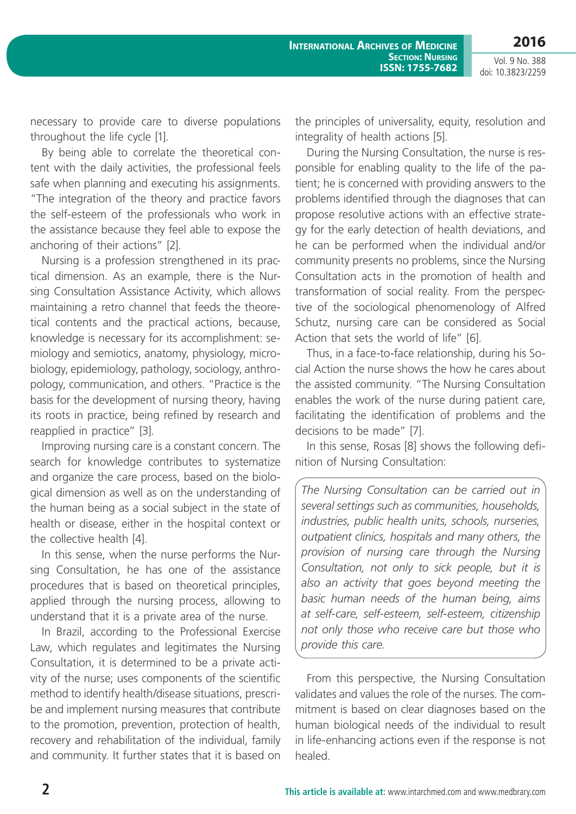Vol. 9 No. 388 doi: 10.3823/2259

necessary to provide care to diverse populations throughout the life cycle [1].

By being able to correlate the theoretical content with the daily activities, the professional feels safe when planning and executing his assignments. "The integration of the theory and practice favors the self-esteem of the professionals who work in the assistance because they feel able to expose the anchoring of their actions" [2].

Nursing is a profession strengthened in its practical dimension. As an example, there is the Nursing Consultation Assistance Activity, which allows maintaining a retro channel that feeds the theoretical contents and the practical actions, because, knowledge is necessary for its accomplishment: semiology and semiotics, anatomy, physiology, microbiology, epidemiology, pathology, sociology, anthropology, communication, and others. "Practice is the basis for the development of nursing theory, having its roots in practice, being refined by research and reapplied in practice" [3].

Improving nursing care is a constant concern. The search for knowledge contributes to systematize and organize the care process, based on the biological dimension as well as on the understanding of the human being as a social subject in the state of health or disease, either in the hospital context or the collective health [4].

In this sense, when the nurse performs the Nursing Consultation, he has one of the assistance procedures that is based on theoretical principles, applied through the nursing process, allowing to understand that it is a private area of the nurse.

In Brazil, according to the Professional Exercise Law, which regulates and legitimates the Nursing Consultation, it is determined to be a private activity of the nurse; uses components of the scientific method to identify health/disease situations, prescribe and implement nursing measures that contribute to the promotion, prevention, protection of health, recovery and rehabilitation of the individual, family and community. It further states that it is based on the principles of universality, equity, resolution and integrality of health actions [5].

During the Nursing Consultation, the nurse is responsible for enabling quality to the life of the patient; he is concerned with providing answers to the problems identified through the diagnoses that can propose resolutive actions with an effective strategy for the early detection of health deviations, and he can be performed when the individual and/or community presents no problems, since the Nursing Consultation acts in the promotion of health and transformation of social reality. From the perspective of the sociological phenomenology of Alfred Schutz, nursing care can be considered as Social Action that sets the world of life" [6].

Thus, in a face-to-face relationship, during his Social Action the nurse shows the how he cares about the assisted community. "The Nursing Consultation enables the work of the nurse during patient care, facilitating the identification of problems and the decisions to be made" [7].

In this sense, Rosas [8] shows the following definition of Nursing Consultation:

*The Nursing Consultation can be carried out in several settings such as communities, households, industries, public health units, schools, nurseries, outpatient clinics, hospitals and many others, the provision of nursing care through the Nursing Consultation, not only to sick people, but it is also an activity that goes beyond meeting the basic human needs of the human being, aims at self-care, self-esteem, self-esteem, citizenship not only those who receive care but those who provide this care.*

From this perspective, the Nursing Consultation validates and values the role of the nurses. The commitment is based on clear diagnoses based on the human biological needs of the individual to result in life-enhancing actions even if the response is not healed.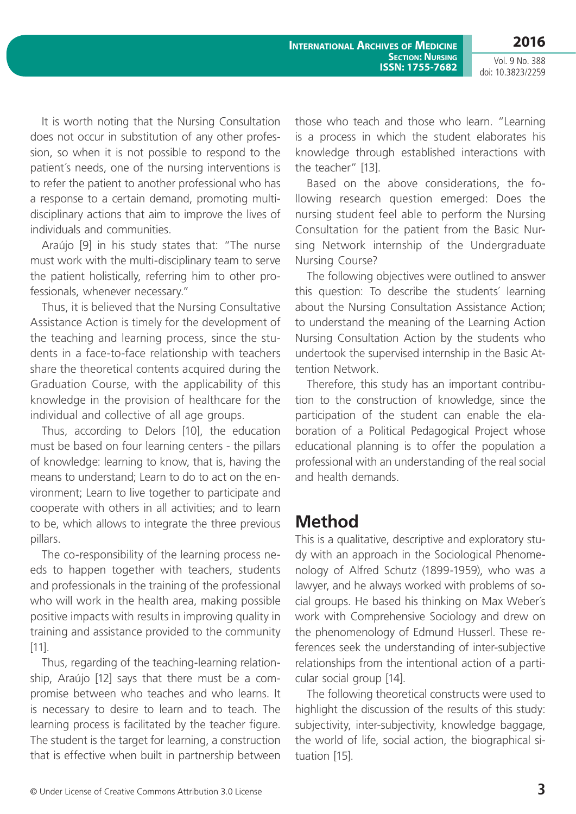Vol. 9 No. 388 doi: 10.3823/2259

It is worth noting that the Nursing Consultation does not occur in substitution of any other profession, so when it is not possible to respond to the patient´s needs, one of the nursing interventions is to refer the patient to another professional who has a response to a certain demand, promoting multidisciplinary actions that aim to improve the lives of individuals and communities.

Araújo [9] in his study states that: "The nurse must work with the multi-disciplinary team to serve the patient holistically, referring him to other professionals, whenever necessary."

Thus, it is believed that the Nursing Consultative Assistance Action is timely for the development of the teaching and learning process, since the students in a face-to-face relationship with teachers share the theoretical contents acquired during the Graduation Course, with the applicability of this knowledge in the provision of healthcare for the individual and collective of all age groups.

Thus, according to Delors [10], the education must be based on four learning centers - the pillars of knowledge: learning to know, that is, having the means to understand; Learn to do to act on the environment; Learn to live together to participate and cooperate with others in all activities; and to learn to be, which allows to integrate the three previous pillars.

The co-responsibility of the learning process needs to happen together with teachers, students and professionals in the training of the professional who will work in the health area, making possible positive impacts with results in improving quality in training and assistance provided to the community [11].

Thus, regarding of the teaching-learning relationship, Araújo [12] says that there must be a compromise between who teaches and who learns. It is necessary to desire to learn and to teach. The learning process is facilitated by the teacher figure. The student is the target for learning, a construction that is effective when built in partnership between those who teach and those who learn. "Learning is a process in which the student elaborates his knowledge through established interactions with the teacher" [13].

Based on the above considerations, the following research question emerged: Does the nursing student feel able to perform the Nursing Consultation for the patient from the Basic Nursing Network internship of the Undergraduate Nursing Course?

The following objectives were outlined to answer this question: To describe the students´ learning about the Nursing Consultation Assistance Action; to understand the meaning of the Learning Action Nursing Consultation Action by the students who undertook the supervised internship in the Basic Attention Network.

Therefore, this study has an important contribution to the construction of knowledge, since the participation of the student can enable the elaboration of a Political Pedagogical Project whose educational planning is to offer the population a professional with an understanding of the real social and health demands.

# **Method**

This is a qualitative, descriptive and exploratory study with an approach in the Sociological Phenomenology of Alfred Schutz (1899-1959), who was a lawyer, and he always worked with problems of social groups. He based his thinking on Max Weber´s work with Comprehensive Sociology and drew on the phenomenology of Edmund Husserl. These references seek the understanding of inter-subjective relationships from the intentional action of a particular social group [14].

The following theoretical constructs were used to highlight the discussion of the results of this study: subjectivity, inter-subjectivity, knowledge baggage, the world of life, social action, the biographical situation [15].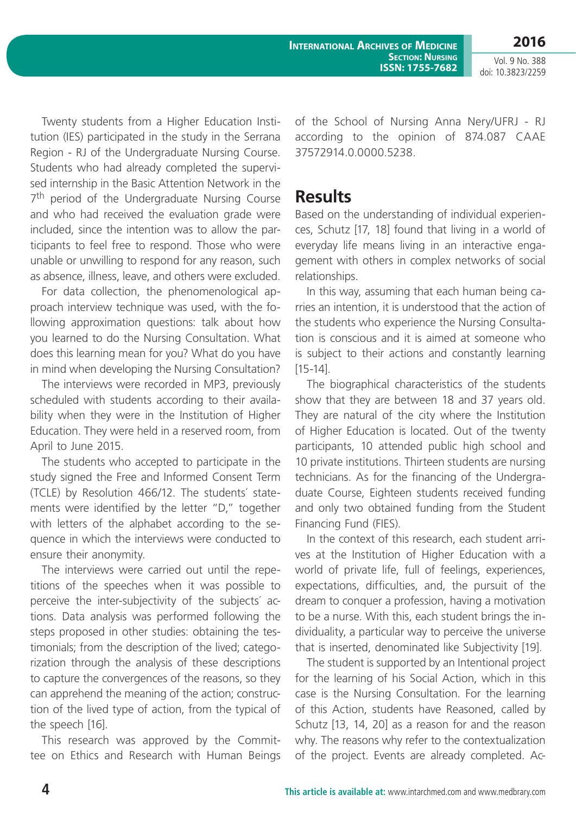**International Archives of Medicine SECTION: NURSING ISSN: 1755-7682** **2016**

Vol. 9 No. 388 doi: 10.3823/2259

Twenty students from a Higher Education Institution (IES) participated in the study in the Serrana Region - RJ of the Undergraduate Nursing Course. Students who had already completed the supervised internship in the Basic Attention Network in the 7<sup>th</sup> period of the Undergraduate Nursing Course and who had received the evaluation grade were included, since the intention was to allow the participants to feel free to respond. Those who were unable or unwilling to respond for any reason, such as absence, illness, leave, and others were excluded.

For data collection, the phenomenological approach interview technique was used, with the following approximation questions: talk about how you learned to do the Nursing Consultation. What does this learning mean for you? What do you have in mind when developing the Nursing Consultation?

The interviews were recorded in MP3, previously scheduled with students according to their availability when they were in the Institution of Higher Education. They were held in a reserved room, from April to June 2015.

The students who accepted to participate in the study signed the Free and Informed Consent Term (TCLE) by Resolution 466/12. The students´ statements were identified by the letter "D," together with letters of the alphabet according to the sequence in which the interviews were conducted to ensure their anonymity.

The interviews were carried out until the repetitions of the speeches when it was possible to perceive the inter-subjectivity of the subjects´ actions. Data analysis was performed following the steps proposed in other studies: obtaining the testimonials; from the description of the lived; categorization through the analysis of these descriptions to capture the convergences of the reasons, so they can apprehend the meaning of the action; construction of the lived type of action, from the typical of the speech [16].

This research was approved by the Committee on Ethics and Research with Human Beings of the School of Nursing Anna Nery/UFRJ - RJ according to the opinion of 874.087 CAAE 37572914.0.0000.5238.

## **Results**

Based on the understanding of individual experiences, Schutz [17, 18] found that living in a world of everyday life means living in an interactive engagement with others in complex networks of social relationships.

In this way, assuming that each human being carries an intention, it is understood that the action of the students who experience the Nursing Consultation is conscious and it is aimed at someone who is subject to their actions and constantly learning [15-14].

The biographical characteristics of the students show that they are between 18 and 37 years old. They are natural of the city where the Institution of Higher Education is located. Out of the twenty participants, 10 attended public high school and 10 private institutions. Thirteen students are nursing technicians. As for the financing of the Undergraduate Course, Eighteen students received funding and only two obtained funding from the Student Financing Fund (FIES).

In the context of this research, each student arrives at the Institution of Higher Education with a world of private life, full of feelings, experiences, expectations, difficulties, and, the pursuit of the dream to conquer a profession, having a motivation to be a nurse. With this, each student brings the individuality, a particular way to perceive the universe that is inserted, denominated like Subjectivity [19].

The student is supported by an Intentional project for the learning of his Social Action, which in this case is the Nursing Consultation. For the learning of this Action, students have Reasoned, called by Schutz [13, 14, 20] as a reason for and the reason why. The reasons why refer to the contextualization of the project. Events are already completed. Ac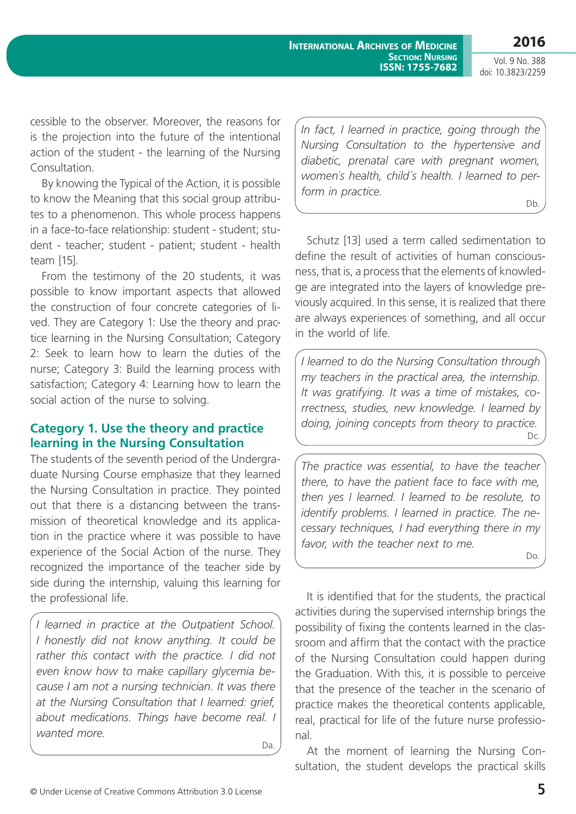**International Archives of Medicine SECTION: NURSING ISSN: 1755-7682**

**2016** Vol. 9 No. 388 doi: 10.3823/2259

cessible to the observer. Moreover, the reasons for is the projection into the future of the intentional action of the student - the learning of the Nursing Consultation.

By knowing the Typical of the Action, it is possible to know the Meaning that this social group attributes to a phenomenon. This whole process happens in a face-to-face relationship: student - student; student - teacher; student - patient; student - health team [15].

From the testimony of the 20 students, it was possible to know important aspects that allowed the construction of four concrete categories of lived. They are Category 1: Use the theory and practice learning in the Nursing Consultation; Category 2: Seek to learn how to learn the duties of the nurse; Category 3: Build the learning process with satisfaction; Category 4: Learning how to learn the social action of the nurse to solving.

#### **Category 1. Use the theory and practice learning in the Nursing Consultation**

The students of the seventh period of the Undergraduate Nursing Course emphasize that they learned the Nursing Consultation in practice. They pointed out that there is a distancing between the transmission of theoretical knowledge and its application in the practice where it was possible to have experience of the Social Action of the nurse. They recognized the importance of the teacher side by side during the internship, valuing this learning for the professional life.

*I learned in practice at the Outpatient School. I honestly did not know anything. It could be rather this contact with the practice. I did not even know how to make capillary glycemia because I am not a nursing technician. It was there at the Nursing Consultation that I learned: grief, about medications. Things have become real. I wanted more.*

Da.

*In fact, I learned in practice, going through the Nursing Consultation to the hypertensive and diabetic, prenatal care with pregnant women, women´s health, child´s health. I learned to perform in practice.* Db.

Schutz [13] used a term called sedimentation to define the result of activities of human consciousness, that is, a process that the elements of knowledge are integrated into the layers of knowledge previously acquired. In this sense, it is realized that there are always experiences of something, and all occur in the world of life.

*I learned to do the Nursing Consultation through my teachers in the practical area, the internship. It was gratifying. It was a time of mistakes, correctness, studies, new knowledge. I learned by doing, joining concepts from theory to practice.* Dc.

*The practice was essential, to have the teacher there, to have the patient face to face with me, then yes I learned. I learned to be resolute, to identify problems. I learned in practice. The necessary techniques, I had everything there in my favor, with the teacher next to me.*

Do.

It is identified that for the students, the practical activities during the supervised internship brings the possibility of fixing the contents learned in the classroom and affirm that the contact with the practice of the Nursing Consultation could happen during the Graduation. With this, it is possible to perceive that the presence of the teacher in the scenario of practice makes the theoretical contents applicable, real, practical for life of the future nurse professional.

At the moment of learning the Nursing Consultation, the student develops the practical skills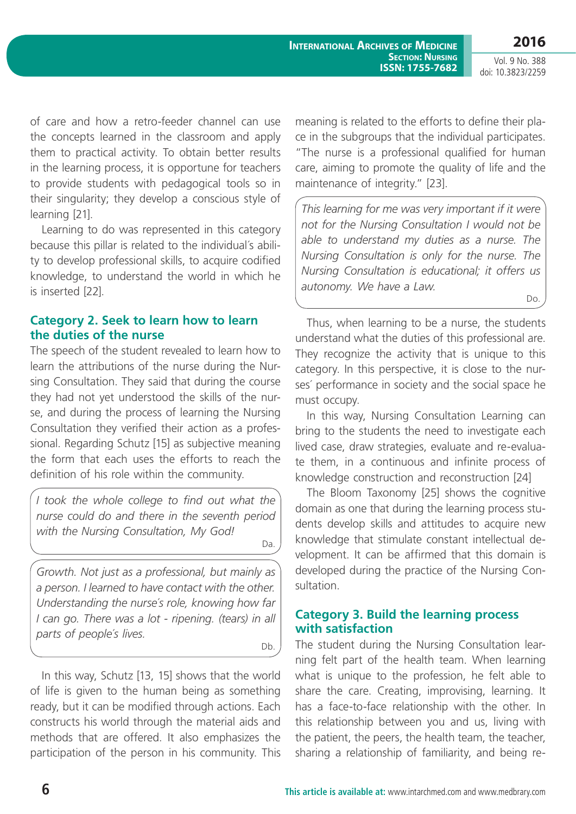Do.

Vol. 9 No. 388 doi: 10.3823/2259

of care and how a retro-feeder channel can use the concepts learned in the classroom and apply them to practical activity. To obtain better results in the learning process, it is opportune for teachers to provide students with pedagogical tools so in their singularity; they develop a conscious style of learning [21].

Learning to do was represented in this category because this pillar is related to the individual´s ability to develop professional skills, to acquire codified knowledge, to understand the world in which he is inserted [22].

#### **Category 2. Seek to learn how to learn the duties of the nurse**

The speech of the student revealed to learn how to learn the attributions of the nurse during the Nursing Consultation. They said that during the course they had not yet understood the skills of the nurse, and during the process of learning the Nursing Consultation they verified their action as a professional. Regarding Schutz [15] as subjective meaning the form that each uses the efforts to reach the definition of his role within the community.

*I took the whole college to find out what the nurse could do and there in the seventh period with the Nursing Consultation, My God!* Da.

*Growth. Not just as a professional, but mainly as a person. I learned to have contact with the other. Understanding the nurse´s role, knowing how far I can go. There was a lot - ripening. (tears) in all parts of people´s lives.*

Db.

In this way, Schutz [13, 15] shows that the world of life is given to the human being as something ready, but it can be modified through actions. Each constructs his world through the material aids and methods that are offered. It also emphasizes the participation of the person in his community. This meaning is related to the efforts to define their place in the subgroups that the individual participates. "The nurse is a professional qualified for human care, aiming to promote the quality of life and the maintenance of integrity." [23].

*This learning for me was very important if it were not for the Nursing Consultation I would not be able to understand my duties as a nurse. The Nursing Consultation is only for the nurse. The Nursing Consultation is educational; it offers us autonomy. We have a Law.*

Thus, when learning to be a nurse, the students understand what the duties of this professional are. They recognize the activity that is unique to this category. In this perspective, it is close to the nurses´ performance in society and the social space he must occupy.

In this way, Nursing Consultation Learning can bring to the students the need to investigate each lived case, draw strategies, evaluate and re-evaluate them, in a continuous and infinite process of knowledge construction and reconstruction [24]

The Bloom Taxonomy [25] shows the cognitive domain as one that during the learning process students develop skills and attitudes to acquire new knowledge that stimulate constant intellectual development. It can be affirmed that this domain is developed during the practice of the Nursing Consultation.

#### **Category 3. Build the learning process with satisfaction**

The student during the Nursing Consultation learning felt part of the health team. When learning what is unique to the profession, he felt able to share the care. Creating, improvising, learning. It has a face-to-face relationship with the other. In this relationship between you and us, living with the patient, the peers, the health team, the teacher, sharing a relationship of familiarity, and being re-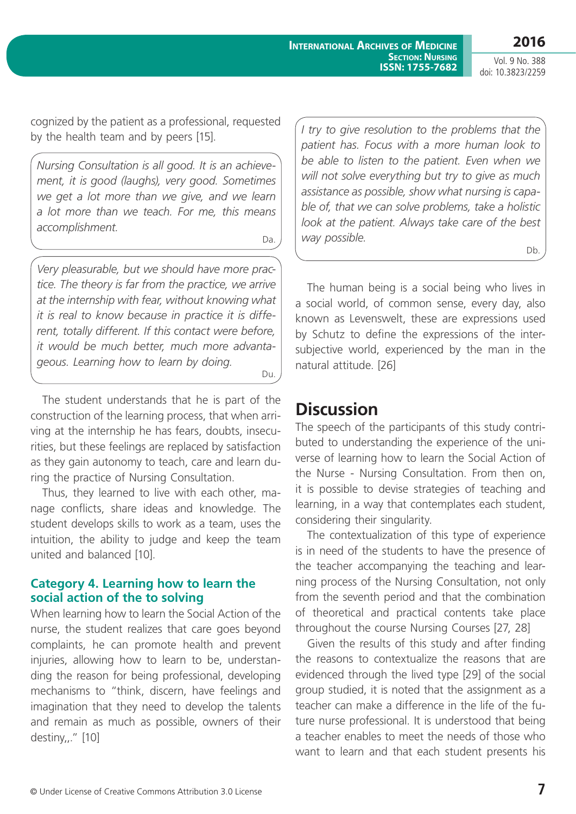Vol. 9 No. 388 doi: 10.3823/2259

**2016**

cognized by the patient as a professional, requested by the health team and by peers [15].

*Nursing Consultation is all good. It is an achievement, it is good (laughs), very good. Sometimes we get a lot more than we give, and we learn a lot more than we teach. For me, this means accomplishment.*

Da.

*Very pleasurable, but we should have more practice. The theory is far from the practice, we arrive at the internship with fear, without knowing what it is real to know because in practice it is different, totally different. If this contact were before, it would be much better, much more advantageous. Learning how to learn by doing.*

Du.

The student understands that he is part of the construction of the learning process, that when arriving at the internship he has fears, doubts, insecurities, but these feelings are replaced by satisfaction as they gain autonomy to teach, care and learn during the practice of Nursing Consultation.

Thus, they learned to live with each other, manage conflicts, share ideas and knowledge. The student develops skills to work as a team, uses the intuition, the ability to judge and keep the team united and balanced [10].

#### **Category 4. Learning how to learn the social action of the to solving**

When learning how to learn the Social Action of the nurse, the student realizes that care goes beyond complaints, he can promote health and prevent injuries, allowing how to learn to be, understanding the reason for being professional, developing mechanisms to "think, discern, have feelings and imagination that they need to develop the talents and remain as much as possible, owners of their destiny,,." [10]

*I try to give resolution to the problems that the patient has. Focus with a more human look to be able to listen to the patient. Even when we will not solve everything but try to give as much assistance as possible, show what nursing is capable of, that we can solve problems, take a holistic look at the patient. Always take care of the best way possible.* Db.

The human being is a social being who lives in a social world, of common sense, every day, also known as Levenswelt, these are expressions used by Schutz to define the expressions of the intersubjective world, experienced by the man in the natural attitude. [26]

# **Discussion**

The speech of the participants of this study contributed to understanding the experience of the universe of learning how to learn the Social Action of the Nurse - Nursing Consultation. From then on, it is possible to devise strategies of teaching and learning, in a way that contemplates each student, considering their singularity.

The contextualization of this type of experience is in need of the students to have the presence of the teacher accompanying the teaching and learning process of the Nursing Consultation, not only from the seventh period and that the combination of theoretical and practical contents take place throughout the course Nursing Courses [27, 28]

Given the results of this study and after finding the reasons to contextualize the reasons that are evidenced through the lived type [29] of the social group studied, it is noted that the assignment as a teacher can make a difference in the life of the future nurse professional. It is understood that being a teacher enables to meet the needs of those who want to learn and that each student presents his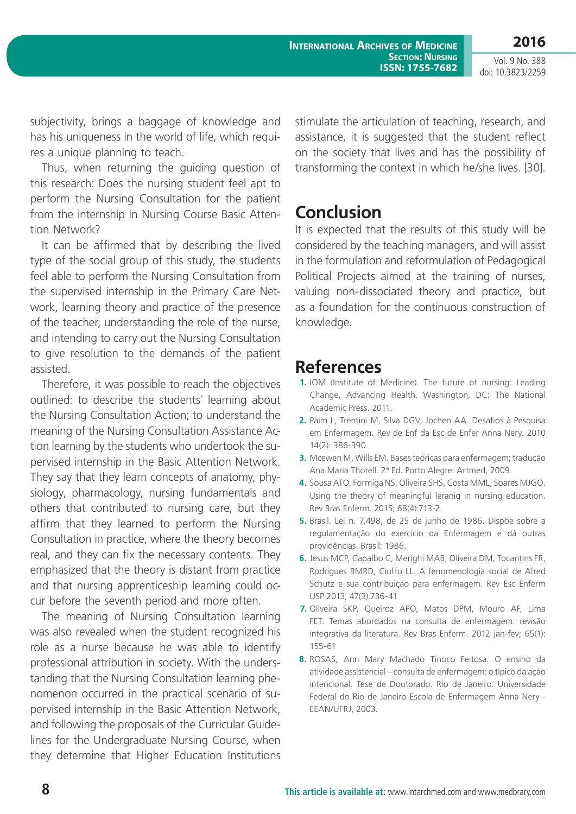Vol. 9 No. 388 doi: 10.3823/2259

subjectivity, brings a baggage of knowledge and has his uniqueness in the world of life, which requires a unique planning to teach.

Thus, when returning the guiding question of this research: Does the nursing student feel apt to perform the Nursing Consultation for the patient from the internship in Nursing Course Basic Attention Network?

It can be affirmed that by describing the lived type of the social group of this study, the students feel able to perform the Nursing Consultation from the supervised internship in the Primary Care Network, learning theory and practice of the presence of the teacher, understanding the role of the nurse, and intending to carry out the Nursing Consultation to give resolution to the demands of the patient assisted.

Therefore, it was possible to reach the objectives outlined: to describe the students´ learning about the Nursing Consultation Action; to understand the meaning of the Nursing Consultation Assistance Action learning by the students who undertook the supervised internship in the Basic Attention Network. They say that they learn concepts of anatomy, physiology, pharmacology, nursing fundamentals and others that contributed to nursing care, but they affirm that they learned to perform the Nursing Consultation in practice, where the theory becomes real, and they can fix the necessary contents. They emphasized that the theory is distant from practice and that nursing apprenticeship learning could occur before the seventh period and more often.

The meaning of Nursing Consultation learning was also revealed when the student recognized his role as a nurse because he was able to identify professional attribution in society. With the understanding that the Nursing Consultation learning phenomenon occurred in the practical scenario of supervised internship in the Basic Attention Network, and following the proposals of the Curricular Guidelines for the Undergraduate Nursing Course, when they determine that Higher Education Institutions stimulate the articulation of teaching, research, and assistance, it is suggested that the student reflect on the society that lives and has the possibility of transforming the context in which he/she lives. [30].

# **Conclusion**

It is expected that the results of this study will be considered by the teaching managers, and will assist in the formulation and reformulation of Pedagogical Political Projects aimed at the training of nurses, valuing non-dissociated theory and practice, but as a foundation for the continuous construction of knowledge.

# **References**

- **1.** IOM (Institute of Medicine). The future of nursing: Leading Change, Advancing Health. Washington, DC: The National Academic Press. 2011.
- **2.** Paim L, Trentini M, Silva DGV, Jochen AA. Desafios à Pesquisa em Enfermagem. Rev de Enf da Esc de Enfer Anna Nery. 2010 14(2): 386-390.
- **3.** Mcewen M, Wills EM. Bases teóricas para enfermagem; tradução Ana Maria Thorell. 2ª Ed. Porto Alegre: Artmed, 2009.
- **4.** Sousa ATO, Formiga NS, Oliveira SHS, Costa MML, Soares MJGO. Using the theory of meaningful leranig in nursing education. Rev Bras Enferm. 2015; 68(4):713-2
- **5.** Brasil. Lei n. 7.498, de 25 de junho de 1986. Dispõe sobre a regulamentação do exercício da Enfermagem e dá outras providências. Brasil: 1986.
- **6.** Jesus MCP, Capalbo C, Merighi MAB, Oliveira DM, Tocantins FR, Rodrigues BMRD, Ciuffo LL. A fenomenologia social de Afred Schutz e sua contribuição para enfermagem. Rev Esc Enferm USP 2013; 47(3):736-41
- **7.** Oliveira SKP, Queiroz APO, Matos DPM, Mouro AF, Lima FET. Temas abordados na consulta de enfermagem: revisão integrativa da literatura. Rev Bras Enferm. 2012 jan-fev; 65(1): 155-61
- **8.** ROSAS, Ann Mary Machado Tinoco Feitosa. O ensino da atividade assistencial – consulta de enfermagem: o típico da ação intencional. Tese de Doutorado. Rio de Janeiro: Universidade Federal do Rio de Janeiro Escola de Enfermagem Anna Nery - EEAN/UFRJ, 2003.